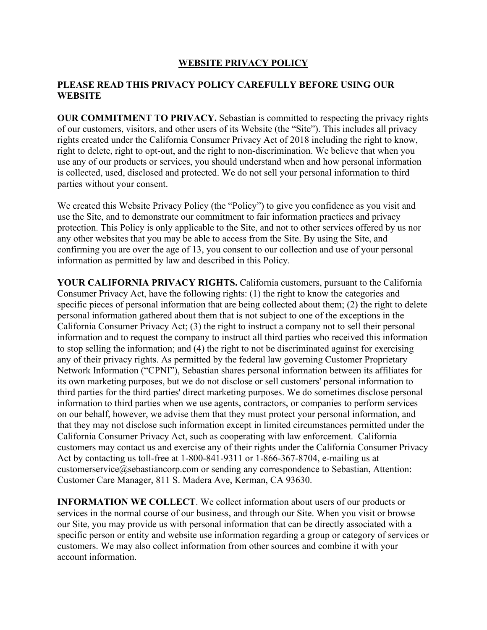## **WEBSITE PRIVACY POLICY**

## **PLEASE READ THIS PRIVACY POLICY CAREFULLY BEFORE USING OUR WEBSITE**

**OUR COMMITMENT TO PRIVACY.** Sebastian is committed to respecting the privacy rights of our customers, visitors, and other users of its Website (the "Site"). This includes all privacy rights created under the California Consumer Privacy Act of 2018 including the right to know, right to delete, right to opt-out, and the right to non-discrimination. We believe that when you use any of our products or services, you should understand when and how personal information is collected, used, disclosed and protected. We do not sell your personal information to third parties without your consent.

We created this Website Privacy Policy (the "Policy") to give you confidence as you visit and use the Site, and to demonstrate our commitment to fair information practices and privacy protection. This Policy is only applicable to the Site, and not to other services offered by us nor any other websites that you may be able to access from the Site. By using the Site, and confirming you are over the age of 13, you consent to our collection and use of your personal information as permitted by law and described in this Policy.

**YOUR CALIFORNIA PRIVACY RIGHTS.** California customers, pursuant to the California Consumer Privacy Act, have the following rights: (1) the right to know the categories and specific pieces of personal information that are being collected about them; (2) the right to delete personal information gathered about them that is not subject to one of the exceptions in the California Consumer Privacy Act; (3) the right to instruct a company not to sell their personal information and to request the company to instruct all third parties who received this information to stop selling the information; and (4) the right to not be discriminated against for exercising any of their privacy rights. As permitted by the federal law governing Customer Proprietary Network Information ("CPNI"), Sebastian shares personal information between its affiliates for its own marketing purposes, but we do not disclose or sell customers' personal information to third parties for the third parties' direct marketing purposes. We do sometimes disclose personal information to third parties when we use agents, contractors, or companies to perform services on our behalf, however, we advise them that they must protect your personal information, and that they may not disclose such information except in limited circumstances permitted under the California Consumer Privacy Act, such as cooperating with law enforcement. California customers may contact us and exercise any of their rights under the California Consumer Privacy Act by contacting us toll-free at 1-800-841-9311 or 1-866-367-8704, e-mailing us at customerservice@sebastiancorp.com or sending any correspondence to Sebastian, Attention: Customer Care Manager, 811 S. Madera Ave, Kerman, CA 93630.

**INFORMATION WE COLLECT**. We collect information about users of our products or services in the normal course of our business, and through our Site. When you visit or browse our Site, you may provide us with personal information that can be directly associated with a specific person or entity and website use information regarding a group or category of services or customers. We may also collect information from other sources and combine it with your account information.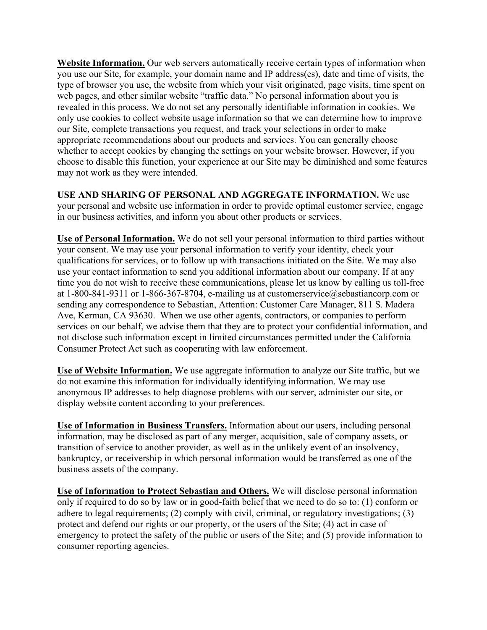**Website Information.** Our web servers automatically receive certain types of information when you use our Site, for example, your domain name and IP address(es), date and time of visits, the type of browser you use, the website from which your visit originated, page visits, time spent on web pages, and other similar website "traffic data." No personal information about you is revealed in this process. We do not set any personally identifiable information in cookies. We only use cookies to collect website usage information so that we can determine how to improve our Site, complete transactions you request, and track your selections in order to make appropriate recommendations about our products and services. You can generally choose whether to accept cookies by changing the settings on your website browser. However, if you choose to disable this function, your experience at our Site may be diminished and some features may not work as they were intended.

**USE AND SHARING OF PERSONAL AND AGGREGATE INFORMATION.** We use your personal and website use information in order to provide optimal customer service, engage in our business activities, and inform you about other products or services.

**Use of Personal Information.** We do not sell your personal information to third parties without your consent. We may use your personal information to verify your identity, check your qualifications for services, or to follow up with transactions initiated on the Site. We may also use your contact information to send you additional information about our company. If at any time you do not wish to receive these communications, please let us know by calling us toll-free at 1-800-841-9311 or 1-866-367-8704, e-mailing us at customerservice@sebastiancorp.com or sending any correspondence to Sebastian, Attention: Customer Care Manager, 811 S. Madera Ave, Kerman, CA 93630. When we use other agents, contractors, or companies to perform services on our behalf, we advise them that they are to protect your confidential information, and not disclose such information except in limited circumstances permitted under the California Consumer Protect Act such as cooperating with law enforcement.

**Use of Website Information.** We use aggregate information to analyze our Site traffic, but we do not examine this information for individually identifying information. We may use anonymous IP addresses to help diagnose problems with our server, administer our site, or display website content according to your preferences.

**Use of Information in Business Transfers.** Information about our users, including personal information, may be disclosed as part of any merger, acquisition, sale of company assets, or transition of service to another provider, as well as in the unlikely event of an insolvency, bankruptcy, or receivership in which personal information would be transferred as one of the business assets of the company.

**Use of Information to Protect Sebastian and Others.** We will disclose personal information only if required to do so by law or in good-faith belief that we need to do so to: (1) conform or adhere to legal requirements; (2) comply with civil, criminal, or regulatory investigations; (3) protect and defend our rights or our property, or the users of the Site; (4) act in case of emergency to protect the safety of the public or users of the Site; and (5) provide information to consumer reporting agencies.